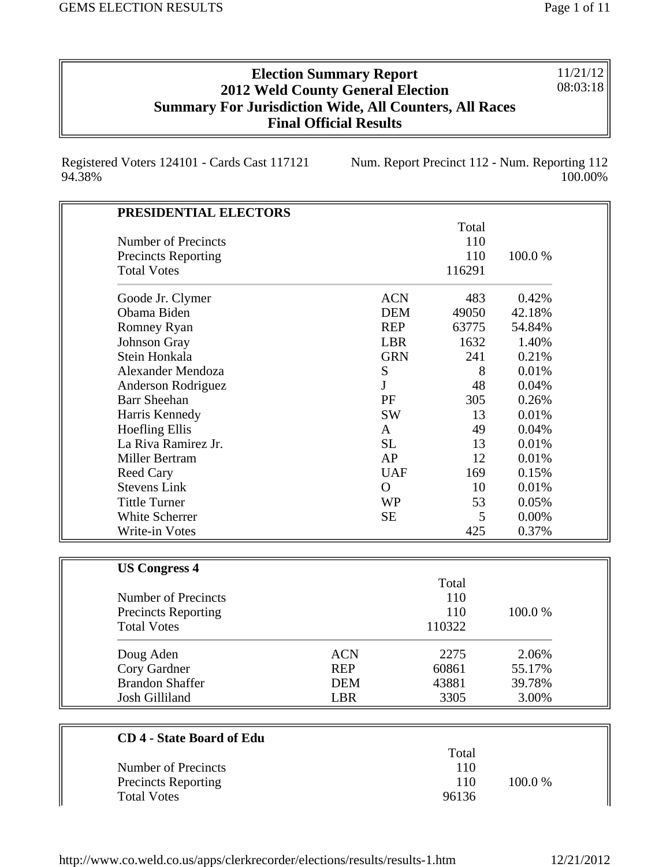11/21/12 08:03:18

## **Election Summary Report 2012 Weld County General Election Summary For Jurisdiction Wide, All Counters, All Races Final Official Results**

Registered Voters 124101 - Cards Cast 117121 94.38%

Num. Report Precinct 112 - Num. Reporting 112 100.00%

| PRESIDENTIAL ELECTORS            |            |                |        |        |
|----------------------------------|------------|----------------|--------|--------|
|                                  |            |                | Total  |        |
| <b>Number of Precincts</b>       |            |                | 110    |        |
| <b>Precincts Reporting</b>       |            |                | 110    | 100.0% |
| <b>Total Votes</b>               |            |                | 116291 |        |
| Goode Jr. Clymer                 |            | <b>ACN</b>     | 483    | 0.42%  |
| Obama Biden                      |            | <b>DEM</b>     | 49050  | 42.18% |
| Romney Ryan                      |            | <b>REP</b>     | 63775  | 54.84% |
| Johnson Gray                     |            | <b>LBR</b>     | 1632   | 1.40%  |
| Stein Honkala                    |            | <b>GRN</b>     | 241    | 0.21%  |
| Alexander Mendoza                |            | ${\bf S}$      | 8      | 0.01%  |
| Anderson Rodriguez               |            | $\mathbf{J}$   | 48     | 0.04%  |
| <b>Barr Sheehan</b>              |            | PF             | 305    | 0.26%  |
| Harris Kennedy                   |            | <b>SW</b>      | 13     | 0.01%  |
| <b>Hoefling Ellis</b>            |            | $\mathbf{A}$   | 49     | 0.04%  |
| La Riva Ramirez Jr.              |            | <b>SL</b>      | 13     | 0.01%  |
| Miller Bertram                   |            | AP             | 12     | 0.01%  |
| <b>Reed Cary</b>                 |            | <b>UAF</b>     | 169    | 0.15%  |
| <b>Stevens Link</b>              |            | $\overline{O}$ | 10     | 0.01%  |
| <b>Tittle Turner</b>             |            | <b>WP</b>      | 53     | 0.05%  |
| White Scherrer                   |            | <b>SE</b>      | 5      | 0.00%  |
| Write-in Votes                   |            |                | 425    | 0.37%  |
|                                  |            |                |        |        |
| <b>US Congress 4</b>             |            |                | Total  |        |
| Number of Precincts              |            |                | 110    |        |
| <b>Precincts Reporting</b>       |            |                | 110    | 100.0% |
| <b>Total Votes</b>               |            |                | 110322 |        |
| Doug Aden                        | <b>ACN</b> |                | 2275   | 2.06%  |
| Cory Gardner                     | <b>REP</b> |                | 60861  | 55.17% |
| <b>Brandon Shaffer</b>           | <b>DEM</b> |                | 43881  | 39.78% |
| <b>Josh Gilliland</b>            | <b>LBR</b> |                | 3305   | 3.00%  |
|                                  |            |                |        |        |
| <b>CD 4 - State Board of Edu</b> |            |                |        |        |
|                                  |            |                | Total  |        |
|                                  |            |                | 110    |        |

| Number of Precincts        | 110   |         |
|----------------------------|-------|---------|
| <b>Precincts Reporting</b> | 110   | 100.0 % |
| <b>Total Votes</b>         | 96136 |         |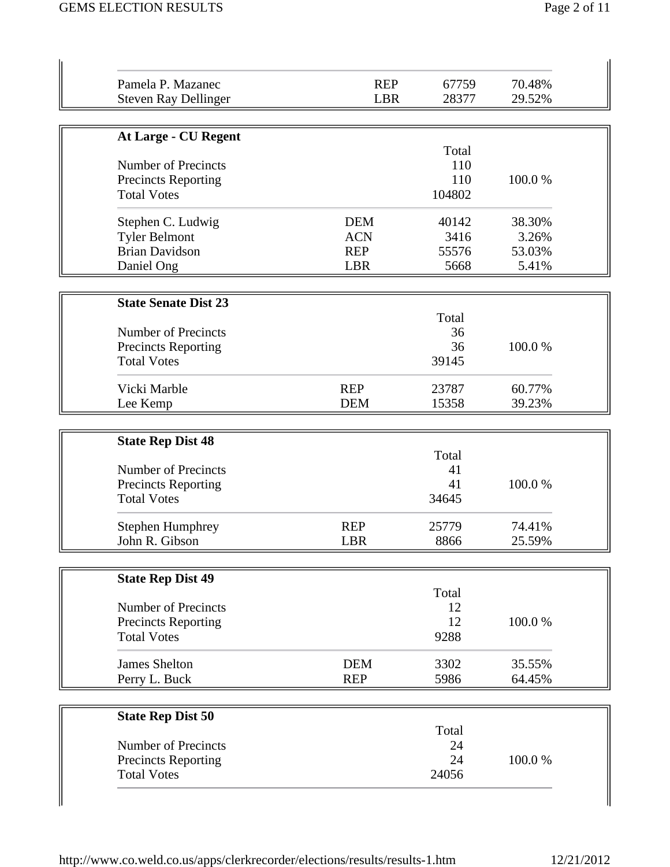| Pamela P. Mazanec                                        | <b>REP</b> | 67759    | 70.48% |
|----------------------------------------------------------|------------|----------|--------|
| <b>Steven Ray Dellinger</b>                              | <b>LBR</b> | 28377    | 29.52% |
| <b>At Large - CU Regent</b>                              |            |          |        |
|                                                          |            | Total    |        |
| Number of Precincts                                      |            | 110      |        |
| <b>Precincts Reporting</b>                               |            | 110      | 100.0% |
| <b>Total Votes</b>                                       |            | 104802   |        |
| Stephen C. Ludwig                                        | <b>DEM</b> | 40142    | 38.30% |
| <b>Tyler Belmont</b>                                     | <b>ACN</b> | 3416     | 3.26%  |
| <b>Brian Davidson</b>                                    | <b>REP</b> | 55576    | 53.03% |
| Daniel Ong                                               | <b>LBR</b> | 5668     | 5.41%  |
| <b>State Senate Dist 23</b>                              |            |          |        |
|                                                          |            | Total    |        |
| <b>Number of Precincts</b>                               |            | 36       |        |
| <b>Precincts Reporting</b>                               |            | 36       | 100.0% |
| <b>Total Votes</b>                                       |            | 39145    |        |
| Vicki Marble                                             | <b>REP</b> | 23787    | 60.77% |
| Lee Kemp                                                 | <b>DEM</b> | 15358    | 39.23% |
| <b>State Rep Dist 48</b>                                 |            |          |        |
|                                                          |            | Total    |        |
| <b>Number of Precincts</b>                               |            | 41       |        |
| <b>Precincts Reporting</b>                               |            | 41       | 100.0% |
|                                                          |            |          |        |
| <b>Total Votes</b>                                       |            | 34645    |        |
| <b>Stephen Humphrey</b>                                  | <b>REP</b> | 25779    | 74.41% |
| John R. Gibson                                           | LBR        | 8866     | 25.59% |
|                                                          |            |          |        |
| <b>State Rep Dist 49</b>                                 |            | Total    |        |
| <b>Number of Precincts</b>                               |            | 12       |        |
| <b>Precincts Reporting</b>                               |            | 12       | 100.0% |
| <b>Total Votes</b>                                       |            | 9288     |        |
| <b>James Shelton</b>                                     | <b>DEM</b> | 3302     | 35.55% |
| Perry L. Buck                                            | <b>REP</b> | 5986     | 64.45% |
|                                                          |            |          |        |
| <b>State Rep Dist 50</b>                                 |            |          |        |
|                                                          |            | Total    |        |
| <b>Number of Precincts</b><br><b>Precincts Reporting</b> |            | 24<br>24 | 100.0% |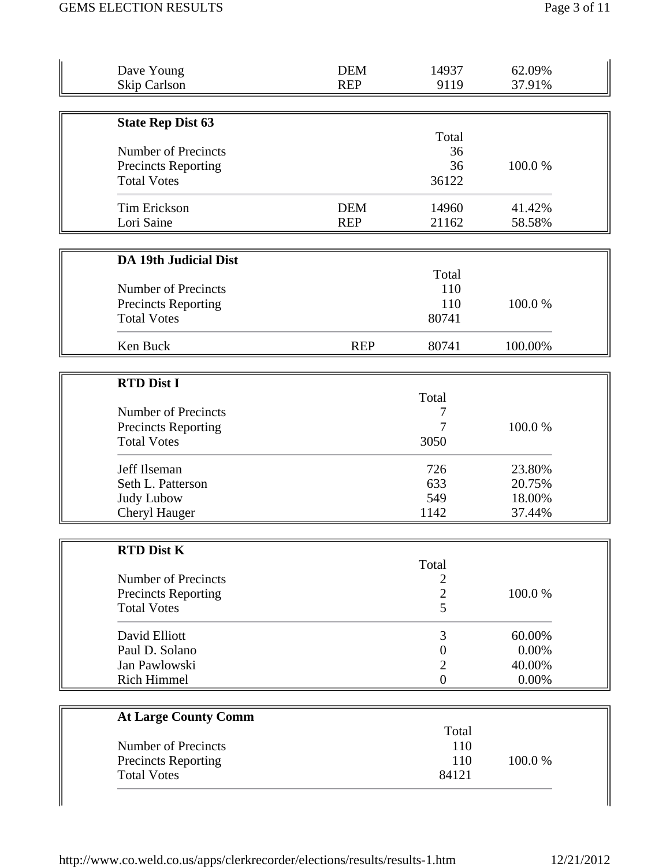| Dave Young<br><b>Skip Carlson</b> | <b>DEM</b><br><b>REP</b> | 14937<br>9119  | 62.09%<br>37.91% |
|-----------------------------------|--------------------------|----------------|------------------|
|                                   |                          |                |                  |
| <b>State Rep Dist 63</b>          |                          |                |                  |
|                                   |                          | Total          |                  |
| <b>Number of Precincts</b>        |                          | 36             |                  |
| <b>Precincts Reporting</b>        |                          | 36             | 100.0%           |
| <b>Total Votes</b>                |                          | 36122          |                  |
| <b>Tim Erickson</b>               | <b>DEM</b>               | 14960          | 41.42%           |
| Lori Saine                        | <b>REP</b>               | 21162          | 58.58%           |
|                                   |                          |                |                  |
| <b>DA 19th Judicial Dist</b>      |                          | Total          |                  |
| Number of Precincts               |                          | 110            |                  |
| <b>Precincts Reporting</b>        |                          | 110            | 100.0%           |
| <b>Total Votes</b>                |                          | 80741          |                  |
|                                   |                          |                |                  |
| Ken Buck                          | <b>REP</b>               | 80741          | 100.00%          |
|                                   |                          |                |                  |
| <b>RTD Dist I</b>                 |                          | Total          |                  |
| <b>Number of Precincts</b>        |                          |                |                  |
| <b>Precincts Reporting</b>        |                          |                | 100.0%           |
| <b>Total Votes</b>                |                          | 3050           |                  |
| Jeff Ilseman                      |                          | 726            | 23.80%           |
| Seth L. Patterson                 |                          | 633            | 20.75%           |
| <b>Judy Lubow</b>                 |                          | 549            | 18.00%           |
| Cheryl Hauger                     |                          | 1142           | 37.44%           |
|                                   |                          |                |                  |
| <b>RTD Dist K</b>                 |                          | Total          |                  |
| <b>Number of Precincts</b>        |                          | 2              |                  |
| <b>Precincts Reporting</b>        |                          | $\overline{2}$ | 100.0%           |
| <b>Total Votes</b>                |                          | 5              |                  |
| David Elliott                     |                          | 3              | 60.00%           |
| Paul D. Solano                    |                          | 0              | 0.00%            |
| Jan Pawlowski                     |                          | $\overline{2}$ | 40.00%           |
| <b>Rich Himmel</b>                |                          | $\overline{0}$ | 0.00%            |
|                                   |                          |                |                  |
| <b>At Large County Comm</b>       |                          |                |                  |
|                                   |                          |                |                  |
|                                   |                          | Total          |                  |
| <b>Number of Precincts</b>        |                          | 110            |                  |
| <b>Precincts Reporting</b>        |                          | 110            | 100.0%           |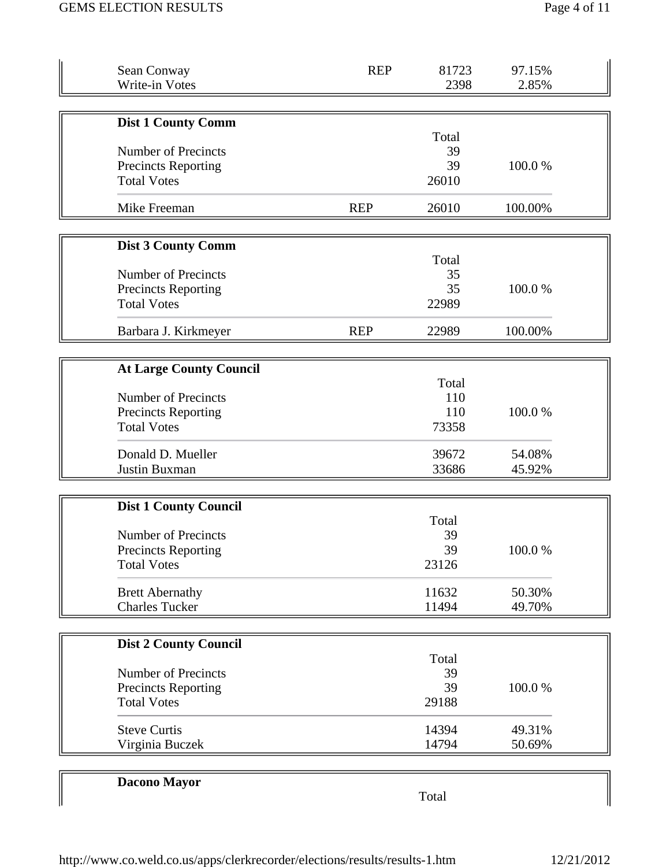| Sean Conway<br>Write-in Votes                                                  | <b>REP</b> | 81723<br>2398                | 97.15%<br>2.85%  |
|--------------------------------------------------------------------------------|------------|------------------------------|------------------|
| <b>Dist 1 County Comm</b>                                                      |            |                              |                  |
| Number of Precincts<br><b>Precincts Reporting</b><br><b>Total Votes</b>        |            | Total<br>39<br>39<br>26010   | 100.0%           |
| Mike Freeman                                                                   | <b>REP</b> | 26010                        | 100.00%          |
| <b>Dist 3 County Comm</b>                                                      |            |                              |                  |
| <b>Number of Precincts</b><br><b>Precincts Reporting</b><br><b>Total Votes</b> |            | Total<br>35<br>35<br>22989   | 100.0%           |
| Barbara J. Kirkmeyer                                                           | <b>REP</b> | 22989                        | 100.00%          |
| <b>At Large County Council</b>                                                 |            |                              |                  |
| Number of Precincts<br><b>Precincts Reporting</b><br><b>Total Votes</b>        |            | Total<br>110<br>110<br>73358 | 100.0%           |
| Donald D. Mueller<br>Justin Buxman                                             |            | 39672<br>33686               | 54.08%<br>45.92% |
| <b>Dist 1 County Council</b>                                                   |            |                              |                  |
| <b>Number of Precincts</b><br><b>Precincts Reporting</b><br><b>Total Votes</b> |            | Total<br>39<br>39<br>23126   | 100.0%           |
| <b>Brett Abernathy</b><br><b>Charles Tucker</b>                                |            | 11632<br>11494               | 50.30%<br>49.70% |
| <b>Dist 2 County Council</b>                                                   |            |                              |                  |
| Number of Precincts<br><b>Precincts Reporting</b><br><b>Total Votes</b>        |            | Total<br>39<br>39<br>29188   | 100.0%           |
| <b>Steve Curtis</b><br>Virginia Buczek                                         |            | 14394<br>14794               | 49.31%<br>50.69% |
| Dacono Mayor                                                                   |            | Total                        |                  |

Total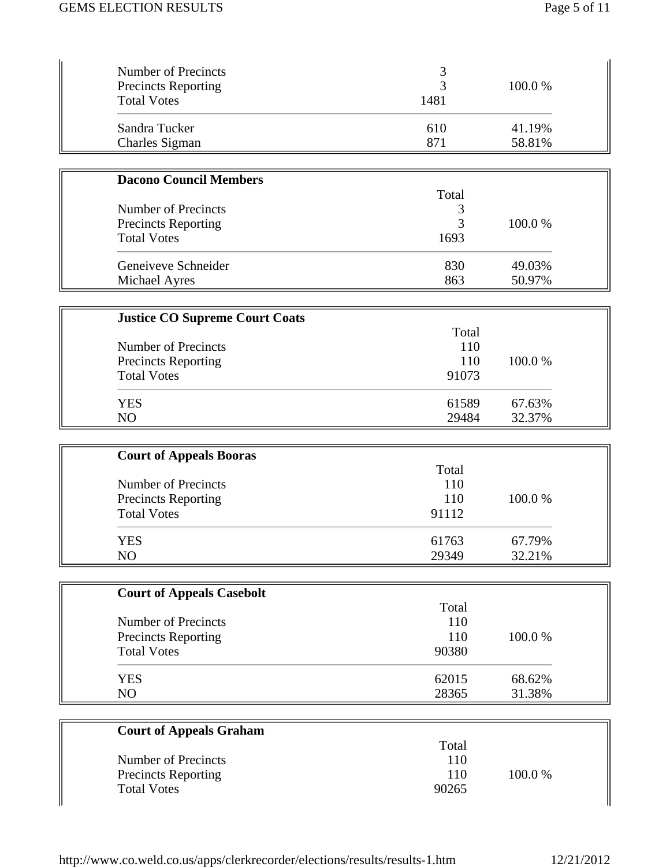| Number of Precincts<br><b>Precincts Reporting</b><br><b>Total Votes</b> | 1481 | 100.0 % |
|-------------------------------------------------------------------------|------|---------|
| Sandra Tucker                                                           | 610  | 41.19%  |
| Charles Sigman                                                          | 871  | 58.81%  |

| <b>Dacono Council Members</b> |       |         |
|-------------------------------|-------|---------|
|                               | Total |         |
| Number of Precincts           |       |         |
| <b>Precincts Reporting</b>    |       | 100.0 % |
| <b>Total Votes</b>            | 1693  |         |
| Geneiveve Schneider           | 830   | 49.03%  |
| Michael Ayres                 | 863   | 50.97%  |

| <b>Justice CO Supreme Court Coats</b> |       |         |
|---------------------------------------|-------|---------|
|                                       | Total |         |
| Number of Precincts                   | 110   |         |
| <b>Precincts Reporting</b>            | 110   | 100.0 % |
| <b>Total Votes</b>                    | 91073 |         |
| <b>YES</b>                            | 61589 | 67.63%  |
| N <sub>O</sub>                        | 29484 | 32.37%  |

| <b>Court of Appeals Booras</b> |       |         |
|--------------------------------|-------|---------|
|                                | Total |         |
| Number of Precincts            | 110   |         |
| Precincts Reporting            | 110   | 100.0 % |
| <b>Total Votes</b>             | 91112 |         |
| <b>YES</b>                     | 61763 | 67.79%  |
| NO                             | 29349 | 32.21%  |

| <b>Court of Appeals Casebolt</b> |       |         |
|----------------------------------|-------|---------|
|                                  | Total |         |
| Number of Precincts              | 110   |         |
| <b>Precincts Reporting</b>       | 110   | 100.0 % |
| <b>Total Votes</b>               | 90380 |         |
| <b>YES</b>                       | 62015 | 68.62%  |
| NO                               | 28365 | 31.38%  |

| <b>Court of Appeals Graham</b> |       |         |
|--------------------------------|-------|---------|
|                                | Total |         |
| Number of Precincts            | 110   |         |
| <b>Precincts Reporting</b>     | 110   | 100.0 % |
| <b>Total Votes</b>             | 90265 |         |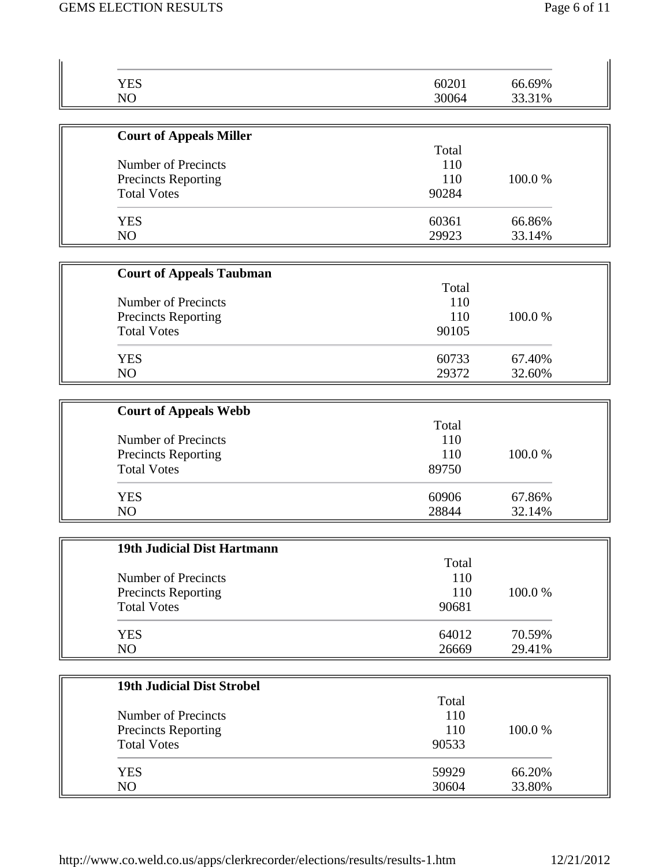| <b>YES</b>                        | 60201 | 66.69% |
|-----------------------------------|-------|--------|
| NO                                | 30064 | 33.31% |
| <b>Court of Appeals Miller</b>    |       |        |
|                                   | Total |        |
| Number of Precincts               | 110   |        |
| <b>Precincts Reporting</b>        | 110   | 100.0% |
| <b>Total Votes</b>                | 90284 |        |
| <b>YES</b>                        | 60361 | 66.86% |
| NO                                | 29923 | 33.14% |
|                                   |       |        |
| <b>Court of Appeals Taubman</b>   | Total |        |
| Number of Precincts               | 110   |        |
| <b>Precincts Reporting</b>        | 110   | 100.0% |
| <b>Total Votes</b>                | 90105 |        |
| <b>YES</b>                        | 60733 | 67.40% |
| NO                                | 29372 | 32.60% |
|                                   |       |        |
| <b>Court of Appeals Webb</b>      | Total |        |
| Number of Precincts               | 110   |        |
| <b>Precincts Reporting</b>        | 110   | 100.0% |
| <b>Total Votes</b>                | 89750 |        |
| <b>YES</b>                        | 60906 | 67.86% |
| NO                                | 28844 | 32.14% |
|                                   |       |        |
| 19th Judicial Dist Hartmann       | Total |        |
| Number of Precincts               | 110   |        |
| <b>Precincts Reporting</b>        | 110   | 100.0% |
| <b>Total Votes</b>                | 90681 |        |
| <b>YES</b>                        | 64012 | 70.59% |
| NO                                | 26669 | 29.41% |
| <b>19th Judicial Dist Strobel</b> |       |        |
|                                   | Total |        |
| <b>Number of Precincts</b>        | 110   |        |
| <b>Precincts Reporting</b>        | 110   | 100.0% |
| <b>Total Votes</b>                | 90533 |        |
| <b>YES</b>                        | 59929 | 66.20% |
| NO                                | 30604 | 33.80% |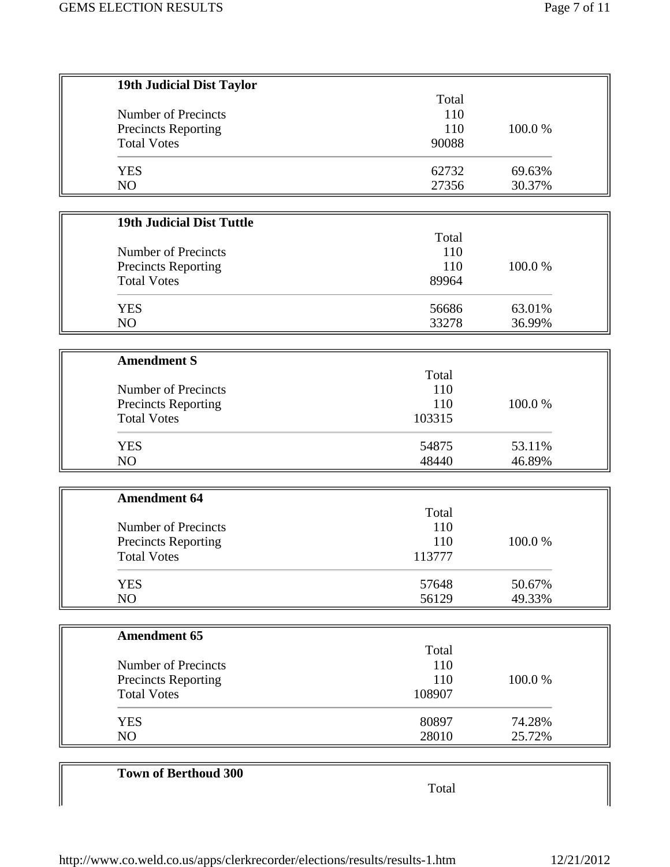| 19th Judicial Dist Taylor                 |        |        |
|-------------------------------------------|--------|--------|
|                                           | Total  |        |
| Number of Precincts                       | 110    |        |
| Precincts Reporting                       | 110    | 100.0% |
| <b>Total Votes</b>                        | 90088  |        |
|                                           |        |        |
| <b>YES</b>                                | 62732  | 69.63% |
| NO                                        | 27356  | 30.37% |
|                                           |        |        |
| <b>19th Judicial Dist Tuttle</b>          |        |        |
|                                           | Total  |        |
| Number of Precincts                       | 110    |        |
| Precincts Reporting                       | 110    | 100.0% |
| <b>Total Votes</b>                        | 89964  |        |
|                                           |        |        |
| <b>YES</b>                                | 56686  | 63.01% |
| NO                                        | 33278  | 36.99% |
|                                           |        |        |
| <b>Amendment S</b>                        |        |        |
|                                           | Total  |        |
| Number of Precincts                       | 110    |        |
| <b>Precincts Reporting</b>                | 110    | 100.0% |
| <b>Total Votes</b>                        | 103315 |        |
| <b>YES</b>                                | 54875  | 53.11% |
| N <sub>O</sub>                            | 48440  | 46.89% |
|                                           |        |        |
| <b>Amendment 64</b>                       |        |        |
|                                           | Total  |        |
| Number of Precincts                       | 110    |        |
|                                           | 110    | 100.0% |
| Precincts Reporting<br><b>Total Votes</b> | 113777 |        |
|                                           |        |        |
| <b>YES</b>                                | 57648  | 50.67% |
| NO                                        | 56129  | 49.33% |
|                                           |        |        |
| <b>Amendment 65</b>                       |        |        |
|                                           | Total  |        |
| Number of Precincts                       | 110    |        |
| <b>Precincts Reporting</b>                | 110    | 100.0% |
| <b>Total Votes</b>                        | 108907 |        |
|                                           |        |        |
| <b>YES</b>                                | 80897  | 74.28% |
| NO                                        | 28010  | 25.72% |
|                                           |        |        |
| <b>Town of Berthoud 300</b>               |        |        |
|                                           | Total  |        |
|                                           |        |        |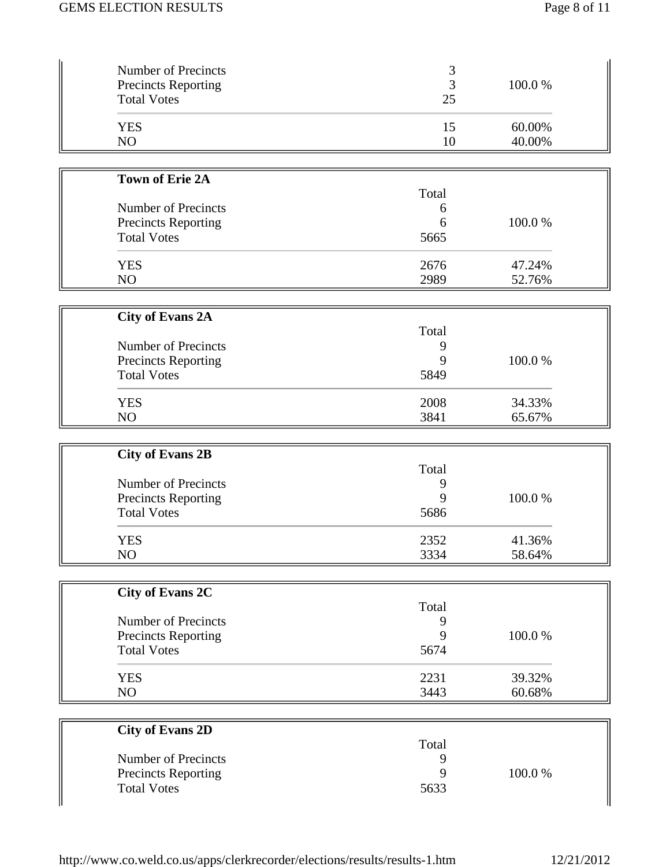| Number of Precincts<br><b>Precincts Reporting</b><br><b>Total Votes</b> | 3<br>3<br>25 | 100.0%           |  |
|-------------------------------------------------------------------------|--------------|------------------|--|
| <b>YES</b><br>NO                                                        | 15<br>10     | 60.00%<br>40.00% |  |
|                                                                         |              |                  |  |
| <b>Town of Erie 2A</b>                                                  | Total        |                  |  |
| <b>Number of Precincts</b>                                              | 6            |                  |  |
| Precincts Reporting                                                     | 6            | 100.0%           |  |
| <b>Total Votes</b>                                                      | 5665         |                  |  |
| <b>YES</b>                                                              | 2676         | 47.24%           |  |
| NO                                                                      | 2989         | 52.76%           |  |
|                                                                         |              |                  |  |
| <b>City of Evans 2A</b>                                                 |              |                  |  |
|                                                                         | Total        |                  |  |
| Number of Precincts                                                     | 9            | 100.0%           |  |
| <b>Precincts Reporting</b><br><b>Total Votes</b>                        | 9<br>5849    |                  |  |
|                                                                         |              |                  |  |
| <b>YES</b>                                                              | 2008         | 34.33%           |  |
| NO                                                                      | 3841         | 65.67%           |  |
| <b>City of Evans 2B</b>                                                 |              |                  |  |
|                                                                         | Total        |                  |  |
| Number of Precincts                                                     | 9            |                  |  |
| <b>Precincts Reporting</b>                                              | 9            | 100.0%           |  |
| <b>Total Votes</b>                                                      | 5686         |                  |  |
| <b>YES</b>                                                              | 2352         | 41.36%           |  |
| NO                                                                      | 3334         | 58.64%           |  |
|                                                                         |              |                  |  |
| <b>City of Evans 2C</b>                                                 |              |                  |  |
|                                                                         | Total        |                  |  |
| Number of Precincts                                                     | 9            |                  |  |
| Precincts Reporting                                                     | 9            | 100.0%           |  |
| <b>Total Votes</b>                                                      | 5674         |                  |  |
| <b>YES</b>                                                              | 2231         | 39.32%           |  |
| NO                                                                      | 3443         | 60.68%           |  |
|                                                                         |              |                  |  |
| <b>City of Evans 2D</b>                                                 |              |                  |  |
|                                                                         | Total        |                  |  |
| Number of Precincts                                                     | 9<br>9       | 100.0%           |  |
| <b>Precincts Reporting</b><br><b>Total Votes</b>                        | 5633         |                  |  |
|                                                                         |              |                  |  |

 $\Big\}$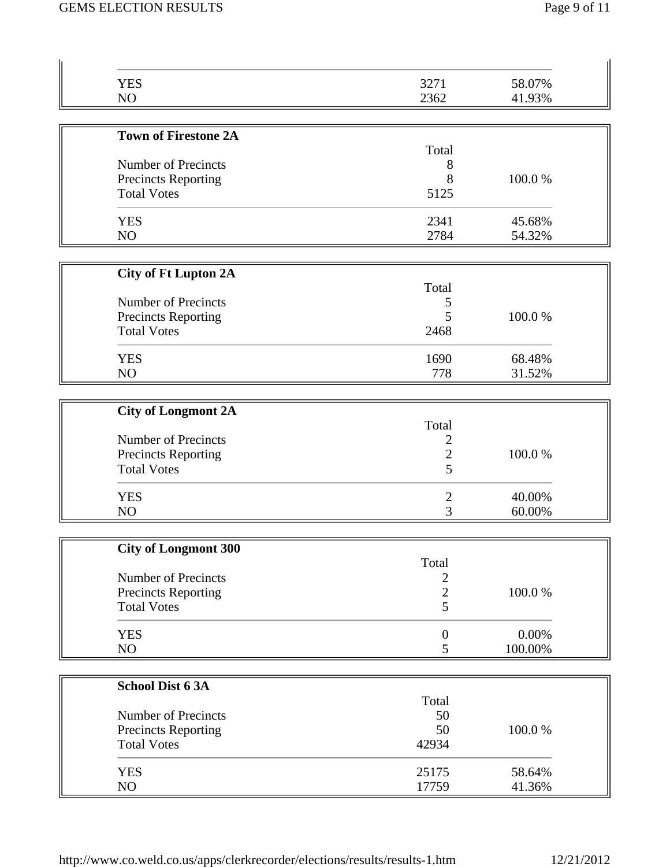| <b>YES</b>                                       | 3271                | 58.07%  |
|--------------------------------------------------|---------------------|---------|
| NO                                               | 2362                | 41.93%  |
|                                                  |                     |         |
| <b>Town of Firestone 2A</b>                      |                     |         |
|                                                  | Total               |         |
| <b>Number of Precincts</b>                       | 8                   |         |
| Precincts Reporting<br><b>Total Votes</b>        | 8<br>5125           | 100.0%  |
|                                                  |                     |         |
| <b>YES</b>                                       | 2341                | 45.68%  |
| NO                                               | 2784                | 54.32%  |
|                                                  |                     |         |
| <b>City of Ft Lupton 2A</b>                      |                     |         |
|                                                  | Total               |         |
| Number of Precincts                              | 5<br>5              | 100.0%  |
| <b>Precincts Reporting</b><br><b>Total Votes</b> | 2468                |         |
|                                                  |                     |         |
| <b>YES</b>                                       | 1690                | 68.48%  |
| NO                                               | 778                 | 31.52%  |
|                                                  |                     |         |
| <b>City of Longmont 2A</b>                       |                     |         |
|                                                  | Total               |         |
| Number of Precincts                              | 2                   |         |
| <b>Precincts Reporting</b>                       | $\overline{c}$<br>5 | 100.0%  |
| <b>Total Votes</b>                               |                     |         |
| <b>YES</b>                                       | $\overline{2}$      | 40.00%  |
| NO                                               | 3                   | 60.00%  |
|                                                  |                     |         |
| <b>City of Longmont 300</b>                      | Total               |         |
| Number of Precincts                              | $\overline{c}$      |         |
| Precincts Reporting                              | $\overline{c}$      | 100.0%  |
| <b>Total Votes</b>                               | 5                   |         |
|                                                  |                     |         |
| <b>YES</b>                                       | $\boldsymbol{0}$    | 0.00%   |
| NO                                               | 5                   | 100.00% |
|                                                  |                     |         |
| <b>School Dist 6 3A</b>                          | Total               |         |
| Number of Precincts                              | 50                  |         |
| Precincts Reporting                              | 50                  | 100.0%  |
| <b>Total Votes</b>                               | 42934               |         |
|                                                  |                     |         |
| <b>YES</b>                                       | 25175               | 58.64%  |
| NO                                               | 17759               | 41.36%  |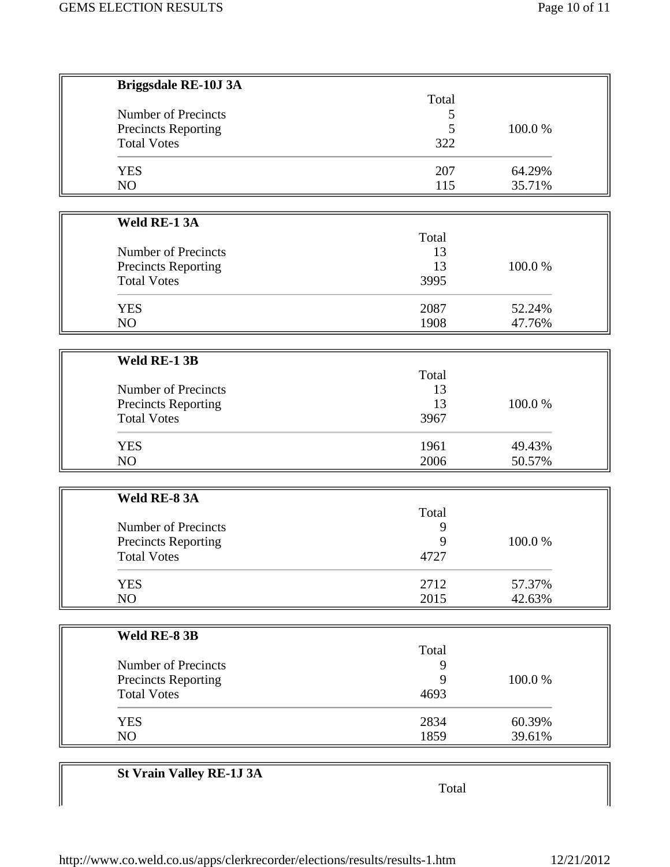| <b>Briggsdale RE-10J 3A</b>     |       |        |
|---------------------------------|-------|--------|
|                                 | Total |        |
| <b>Number of Precincts</b>      | 5     |        |
| Precincts Reporting             | 5     | 100.0% |
| <b>Total Votes</b>              | 322   |        |
| <b>YES</b>                      | 207   | 64.29% |
| NO                              | 115   | 35.71% |
|                                 |       |        |
| Weld RE-1 3A                    | Total |        |
| Number of Precincts             | 13    |        |
| Precincts Reporting             | 13    | 100.0% |
| <b>Total Votes</b>              | 3995  |        |
|                                 |       |        |
| <b>YES</b>                      | 2087  | 52.24% |
| NO                              | 1908  | 47.76% |
| Weld RE-1 3B                    |       |        |
|                                 | Total |        |
| Number of Precincts             | 13    |        |
| Precincts Reporting             | 13    | 100.0% |
| <b>Total Votes</b>              | 3967  |        |
| <b>YES</b>                      | 1961  | 49.43% |
| NO                              | 2006  | 50.57% |
|                                 |       |        |
| Weld RE-83A                     |       |        |
|                                 | Total |        |
| Number of Precincts             | 9     |        |
| <b>Precincts Reporting</b>      | 9     | 100.0% |
| Total Votes                     | 4727  |        |
| <b>YES</b>                      | 2712  | 57.37% |
| NO                              | 2015  | 42.63% |
| Weld RE-8 3B                    |       |        |
|                                 | Total |        |
| <b>Number of Precincts</b>      | 9     |        |
| <b>Precincts Reporting</b>      | 9     | 100.0% |
| <b>Total Votes</b>              | 4693  |        |
| <b>YES</b>                      | 2834  | 60.39% |
| NO                              | 1859  | 39.61% |
|                                 |       |        |
| <b>St Vrain Valley RE-1J 3A</b> | Total |        |